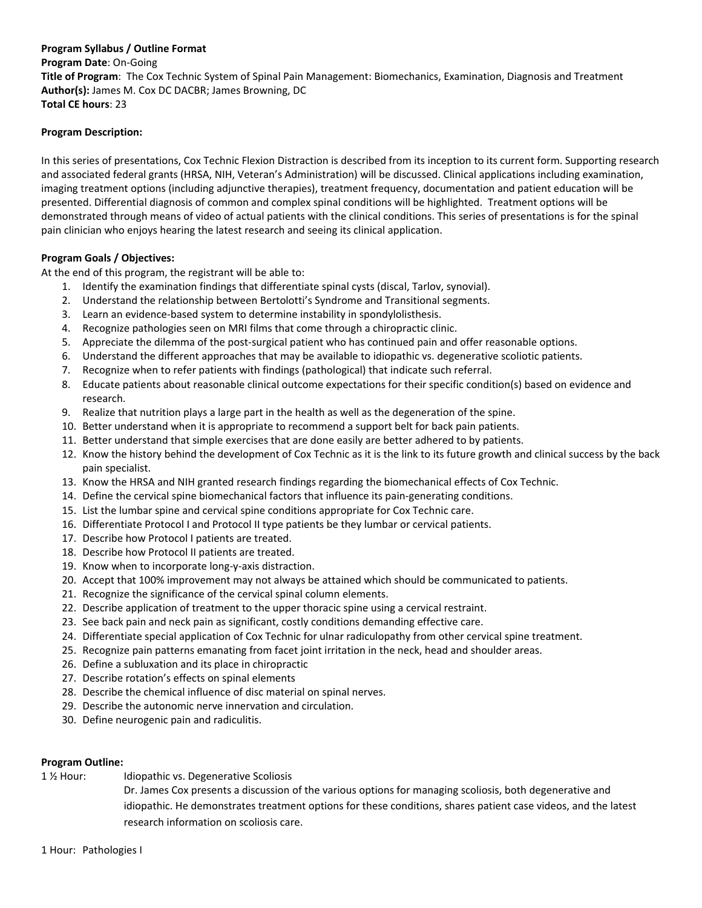### **Program Syllabus / Outline Format**

**Program Date**: On‐Going **Title of Program**: The Cox Technic System of Spinal Pain Management: Biomechanics, Examination, Diagnosis and Treatment **Author(s):** James M. Cox DC DACBR; James Browning, DC **Total CE hours**: 23

#### **Program Description:**

In this series of presentations, Cox Technic Flexion Distraction is described from its inception to its current form. Supporting research and associated federal grants (HRSA, NIH, Veteran's Administration) will be discussed. Clinical applications including examination, imaging treatment options (including adjunctive therapies), treatment frequency, documentation and patient education will be presented. Differential diagnosis of common and complex spinal conditions will be highlighted. Treatment options will be demonstrated through means of video of actual patients with the clinical conditions. This series of presentations is for the spinal pain clinician who enjoys hearing the latest research and seeing its clinical application.

#### **Program Goals / Objectives:**

At the end of this program, the registrant will be able to:

- 1. Identify the examination findings that differentiate spinal cysts (discal, Tarlov, synovial).
- 2. Understand the relationship between Bertolotti's Syndrome and Transitional segments.
- 3. Learn an evidence‐based system to determine instability in spondylolisthesis.
- 4. Recognize pathologies seen on MRI films that come through a chiropractic clinic.
- 5. Appreciate the dilemma of the post-surgical patient who has continued pain and offer reasonable options.
- 6. Understand the different approaches that may be available to idiopathic vs. degenerative scoliotic patients.
- 7. Recognize when to refer patients with findings (pathological) that indicate such referral.
- 8. Educate patients about reasonable clinical outcome expectations for their specific condition(s) based on evidence and research.
- 9. Realize that nutrition plays a large part in the health as well as the degeneration of the spine.
- 10. Better understand when it is appropriate to recommend a support belt for back pain patients.
- 11. Better understand that simple exercises that are done easily are better adhered to by patients.
- 12. Know the history behind the development of Cox Technic as it is the link to its future growth and clinical success by the back pain specialist.
- 13. Know the HRSA and NIH granted research findings regarding the biomechanical effects of Cox Technic.
- 14. Define the cervical spine biomechanical factors that influence its pain-generating conditions.
- 15. List the lumbar spine and cervical spine conditions appropriate for Cox Technic care.
- 16. Differentiate Protocol I and Protocol II type patients be they lumbar or cervical patients.
- 17. Describe how Protocol I patients are treated.
- 18. Describe how Protocol II patients are treated.
- 19. Know when to incorporate long‐y‐axis distraction.
- 20. Accept that 100% improvement may not always be attained which should be communicated to patients.
- 21. Recognize the significance of the cervical spinal column elements.
- 22. Describe application of treatment to the upper thoracic spine using a cervical restraint.
- 23. See back pain and neck pain as significant, costly conditions demanding effective care.
- 24. Differentiate special application of Cox Technic for ulnar radiculopathy from other cervical spine treatment.
- 25. Recognize pain patterns emanating from facet joint irritation in the neck, head and shoulder areas.
- 26. Define a subluxation and its place in chiropractic
- 27. Describe rotation's effects on spinal elements
- 28. Describe the chemical influence of disc material on spinal nerves.
- 29. Describe the autonomic nerve innervation and circulation.
- 30. Define neurogenic pain and radiculitis.

#### **Program Outline:**

1 ½ Hour: Idiopathic vs. Degenerative Scoliosis

Dr. James Cox presents a discussion of the various options for managing scoliosis, both degenerative and idiopathic. He demonstrates treatment options for these conditions, shares patient case videos, and the latest research information on scoliosis care.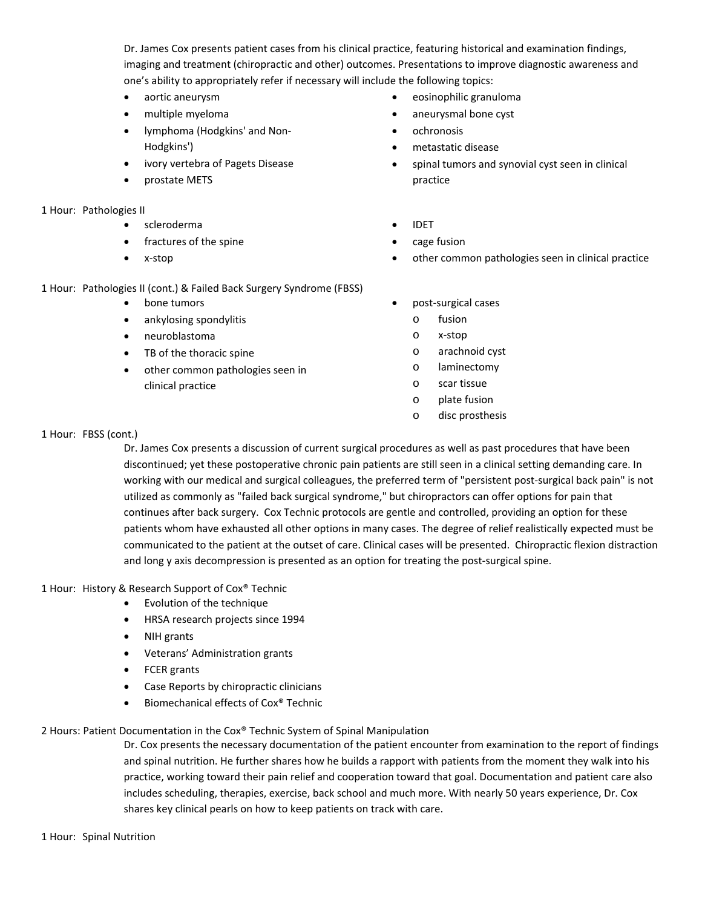Dr. James Cox presents patient cases from his clinical practice, featuring historical and examination findings, imaging and treatment (chiropractic and other) outcomes. Presentations to improve diagnostic awareness and one's ability to appropriately refer if necessary will include the following topics:

- aortic aneurysm
- multiple myeloma
- lymphoma (Hodgkins' and Non-Hodgkins')
- ivory vertebra of Pagets Disease
- prostate METS

#### 1 Hour: Pathologies II

- scleroderma
- fractures of the spine
- x-stop
- eosinophilic granuloma
- aneurysmal bone cyst
- ochronosis
- metastatic disease
- spinal tumors and synovial cyst seen in clinical practice
- IDFT
- cage fusion
- other common pathologies seen in clinical practice
- 1 Hour: Pathologies II (cont.) & Failed Back Surgery Syndrome (FBSS)
	- bone tumors
	- ankylosing spondylitis
	- neuroblastoma
	- TB of the thoracic spine
	- other common pathologies seen in clinical practice
- post‐surgical cases
	- o fusion
	- o x‐stop
	- o arachnoid cyst
	- o laminectomy
	- o scar tissue
	- o plate fusion
	- o disc prosthesis

1 Hour: FBSS (cont.)

Dr. James Cox presents a discussion of current surgical procedures as well as past procedures that have been discontinued; yet these postoperative chronic pain patients are still seen in a clinical setting demanding care. In working with our medical and surgical colleagues, the preferred term of "persistent post‐surgical back pain" is not utilized as commonly as "failed back surgical syndrome," but chiropractors can offer options for pain that continues after back surgery. Cox Technic protocols are gentle and controlled, providing an option for these patients whom have exhausted all other options in many cases. The degree of relief realistically expected must be communicated to the patient at the outset of care. Clinical cases will be presented. Chiropractic flexion distraction and long y axis decompression is presented as an option for treating the post-surgical spine.

#### 1 Hour: History & Research Support of Cox® Technic

- Evolution of the technique
- HRSA research projects since 1994
- NIH grants
- Veterans' Administration grants
- FCER grants
- Case Reports by chiropractic clinicians
- Biomechanical effects of Cox® Technic

### 2 Hours: Patient Documentation in the Cox® Technic System of Spinal Manipulation

Dr. Cox presents the necessary documentation of the patient encounter from examination to the report of findings and spinal nutrition. He further shares how he builds a rapport with patients from the moment they walk into his practice, working toward their pain relief and cooperation toward that goal. Documentation and patient care also includes scheduling, therapies, exercise, back school and much more. With nearly 50 years experience, Dr. Cox shares key clinical pearls on how to keep patients on track with care.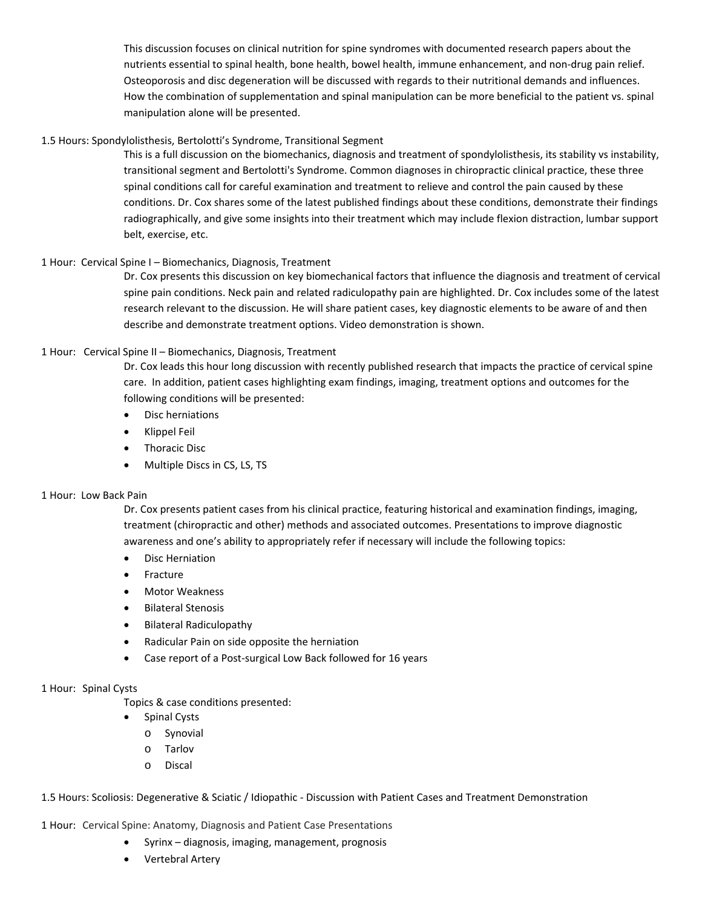This discussion focuses on clinical nutrition for spine syndromes with documented research papers about the nutrients essential to spinal health, bone health, bowel health, immune enhancement, and non‐drug pain relief. Osteoporosis and disc degeneration will be discussed with regards to their nutritional demands and influences. How the combination of supplementation and spinal manipulation can be more beneficial to the patient vs. spinal manipulation alone will be presented.

### 1.5 Hours: Spondylolisthesis, Bertolotti's Syndrome, Transitional Segment

This is a full discussion on the biomechanics, diagnosis and treatment of spondylolisthesis, its stability vs instability, transitional segment and Bertolotti's Syndrome. Common diagnoses in chiropractic clinical practice, these three spinal conditions call for careful examination and treatment to relieve and control the pain caused by these conditions. Dr. Cox shares some of the latest published findings about these conditions, demonstrate their findings radiographically, and give some insights into their treatment which may include flexion distraction, lumbar support belt, exercise, etc.

### 1 Hour: Cervical Spine I – Biomechanics, Diagnosis, Treatment

Dr. Cox presents this discussion on key biomechanical factors that influence the diagnosis and treatment of cervical spine pain conditions. Neck pain and related radiculopathy pain are highlighted. Dr. Cox includes some of the latest research relevant to the discussion. He will share patient cases, key diagnostic elements to be aware of and then describe and demonstrate treatment options. Video demonstration is shown.

### 1 Hour: Cervical Spine II – Biomechanics, Diagnosis, Treatment

Dr. Cox leads this hour long discussion with recently published research that impacts the practice of cervical spine care. In addition, patient cases highlighting exam findings, imaging, treatment options and outcomes for the following conditions will be presented:

- Disc herniations
- Klippel Feil
- Thoracic Disc
- Multiple Discs in CS, LS, TS

### 1 Hour: Low Back Pain

Dr. Cox presents patient cases from his clinical practice, featuring historical and examination findings, imaging, treatment (chiropractic and other) methods and associated outcomes. Presentations to improve diagnostic awareness and one's ability to appropriately refer if necessary will include the following topics:

- **•** Disc Herniation
- Fracture
- Motor Weakness
- **•** Bilateral Stenosis
- Bilateral Radiculopathy
- Radicular Pain on side opposite the herniation
- Case report of a Post‐surgical Low Back followed for 16 years

### 1 Hour: Spinal Cysts

Topics & case conditions presented:

- Spinal Cysts
- o Synovial
- o Tarlov
- o Discal

1.5 Hours: Scoliosis: Degenerative & Sciatic / Idiopathic ‐ Discussion with Patient Cases and Treatment Demonstration

1 Hour: Cervical Spine: Anatomy, Diagnosis and Patient Case Presentations

- Syrinx diagnosis, imaging, management, prognosis
- Vertebral Artery